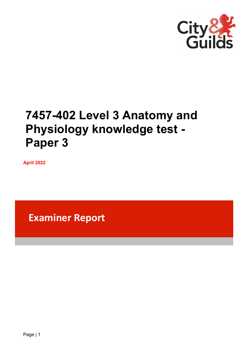

# **7457-402 Level 3 Anatomy and Physiology knowledge test - Paper 3**

**April 2022**

**Examiner Report**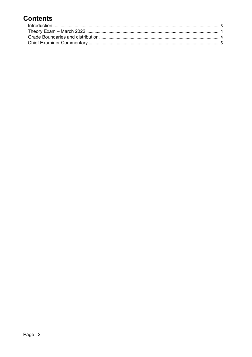# **Contents**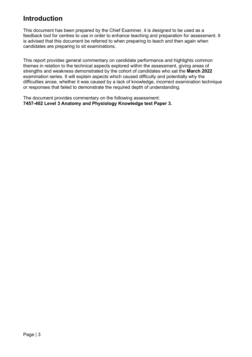## <span id="page-2-0"></span>**Introduction**

This document has been prepared by the Chief Examiner, it is designed to be used as a feedback tool for centres to use in order to enhance teaching and preparation for assessment. It is advised that this document be referred to when preparing to teach and then again when candidates are preparing to sit examinations.

This report provides general commentary on candidate performance and highlights common themes in relation to the technical aspects explored within the assessment, giving areas of strengths and weakness demonstrated by the cohort of candidates who sat the **March 2022** examination series. It will explain aspects which caused difficulty and potentially why the difficulties arose, whether it was caused by a lack of knowledge, incorrect examination technique or responses that failed to demonstrate the required depth of understanding.

The document provides commentary on the following assessment: **7457-402 Level 3 Anatomy and Physiology Knowledge test Paper 3.**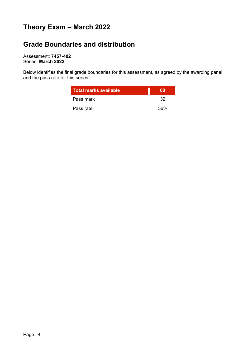# <span id="page-3-0"></span>**Theory Exam – March 2022**

## <span id="page-3-1"></span>**Grade Boundaries and distribution**

Assessment: **7457-402** Series: **March 2022**

Below identifies the final grade boundaries for this assessment, as agreed by the awarding panel and the pass rate for this series:

| <b>Total marks available</b> | m   |
|------------------------------|-----|
| Pass mark                    | 32  |
| Pass rate                    | 36% |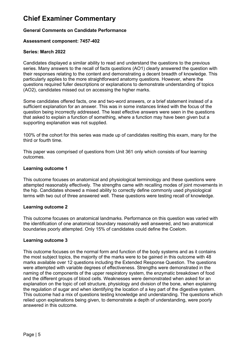## <span id="page-4-0"></span>**Chief Examiner Commentary**

#### **General Comments on Candidate Performance**

#### **Assessment component: 7457-402**

#### **Series: March 2022**

Candidates displayed a similar ability to read and understand the questions to the previous series. Many answers to the recall of facts questions (AO1) clearly answered the question with their responses relating to the content and demonstrating a decent breadth of knowledge. This particularly applies to the more straightforward anatomy questions. However, where the questions required fuller descriptions or explanations to demonstrate understanding of topics (AO2), candidates missed out on accessing the higher marks.

Some candidates offered facts, one and two-word answers, or a brief statement instead of a sufficient explanation for an answer. This was in some instances linked with the focus of the question being incorrectly addressed. The least effective answers were seen in the questions that asked to explain a function of something, where a function may have been given but a supporting explanation was not supplied.

100% of the cohort for this series was made up of candidates resitting this exam, many for the third or fourth time.

This paper was comprised of questions from Unit 361 only which consists of four learning outcomes.

#### **Learning outcome 1**

This outcome focuses on anatomical and physiological terminology and these questions were attempted reasonably effectively. The strengths came with recalling modes of joint movements in the hip. Candidates showed a mixed ability to correctly define commonly used physiological terms with two out of three answered well. These questions were testing recall of knowledge.

#### **Learning outcome 2**

This outcome focuses on anatomical landmarks. Performance on this question was varied with the identification of one anatomical boundary reasonably well answered, and two anatomical boundaries poorly attempted. Only 15% of candidates could define the Coelom.

#### **Learning outcome 3**

This outcome focuses on the normal form and function of the body systems and as it contains the most subject topics, the majority of the marks were to be gained in this outcome with 48 marks available over 12 questions including the Extended Response Question. The questions were attempted with variable degrees of effectiveness. Strengths were demonstrated in the naming of the components of the upper respiratory system, the enzymatic breakdown of food and the different groups of blood cells. Weaknesses were demonstrated when asked for an explanation on the topic of cell structure, physiology and division of the bone, when explaining the regulation of sugar and when identifying the location of a key part of the digestive system. This outcome had a mix of questions testing knowledge and understanding. The questions which relied upon explanations being given, to demonstrate a depth of understanding, were poorly answered in this outcome.